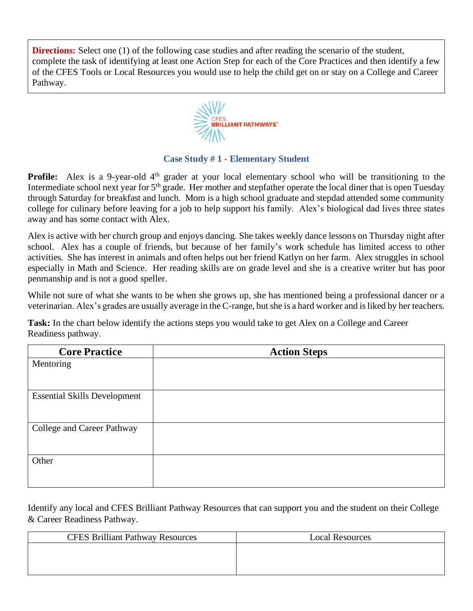**Directions:** Select one (1) of the following case studies and after reading the scenario of the student, complete the task of identifying at least one Action Step for each of the Core Practices and then identify a few of the CFES Tools or Local Resources you would use to help the child get on or stay on a College and Career Pathway.



## **Case Study # 1 - Elementary Student**

**Profile:** Alex is a 9-year-old 4<sup>th</sup> grader at your local elementary school who will be transitioning to the Intermediate school next year for 5<sup>th</sup> grade. Her mother and stepfather operate the local diner that is open Tuesday through Saturday for breakfast and lunch. Mom is a high school graduate and stepdad attended some community college for culinary before leaving for a job to help support his family. Alex's biological dad lives three states away and has some contact with Alex.

Alex is active with her church group and enjoys dancing. She takes weekly dance lessons on Thursday night after school. Alex has a couple of friends, but because of her family's work schedule has limited access to other activities. She has interest in animals and often helps out her friend Katlyn on her farm. Alex struggles in school especially in Math and Science. Her reading skills are on grade level and she is a creative writer but has poor penmanship and is not a good speller.

While not sure of what she wants to be when she grows up, she has mentioned being a professional dancer or a veterinarian. Alex's grades are usually average in the C-range, but she is a hard worker and is liked by her teachers.

**Task:** In the chart below identify the actions steps you would take to get Alex on a College and Career Readiness pathway.

| <b>Action Steps</b> |
|---------------------|
|                     |
|                     |
|                     |
|                     |
|                     |
|                     |
|                     |
|                     |
|                     |

| <b>CFES Brilliant Pathway Resources</b> | <b>Local Resources</b> |
|-----------------------------------------|------------------------|
|                                         |                        |
|                                         |                        |
|                                         |                        |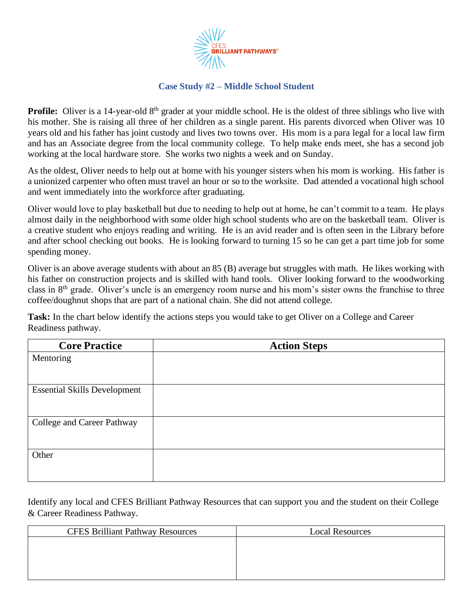

## **Case Study #2 – Middle School Student**

**Profile:** Oliver is a 14-year-old 8<sup>th</sup> grader at your middle school. He is the oldest of three siblings who live with his mother. She is raising all three of her children as a single parent. His parents divorced when Oliver was 10 years old and his father has joint custody and lives two towns over. His mom is a para legal for a local law firm and has an Associate degree from the local community college. To help make ends meet, she has a second job working at the local hardware store. She works two nights a week and on Sunday.

As the oldest, Oliver needs to help out at home with his younger sisters when his mom is working. His father is a unionized carpenter who often must travel an hour or so to the worksite. Dad attended a vocational high school and went immediately into the workforce after graduating.

Oliver would love to play basketball but due to needing to help out at home, he can't commit to a team. He plays almost daily in the neighborhood with some older high school students who are on the basketball team. Oliver is a creative student who enjoys reading and writing. He is an avid reader and is often seen in the Library before and after school checking out books. He is looking forward to turning 15 so he can get a part time job for some spending money.

Oliver is an above average students with about an 85 (B) average but struggles with math. He likes working with his father on construction projects and is skilled with hand tools. Oliver looking forward to the woodworking class in 8th grade. Oliver's uncle is an emergency room nurse and his mom's sister owns the franchise to three coffee/doughnut shops that are part of a national chain. She did not attend college.

**Task:** In the chart below identify the actions steps you would take to get Oliver on a College and Career Readiness pathway.

| <b>Core Practice</b>                | <b>Action Steps</b> |
|-------------------------------------|---------------------|
| Mentoring                           |                     |
|                                     |                     |
| <b>Essential Skills Development</b> |                     |
|                                     |                     |
| College and Career Pathway          |                     |
|                                     |                     |
| Other                               |                     |
|                                     |                     |
|                                     |                     |

| <b>CFES Brilliant Pathway Resources</b> | <b>Local Resources</b> |
|-----------------------------------------|------------------------|
|                                         |                        |
|                                         |                        |
|                                         |                        |
|                                         |                        |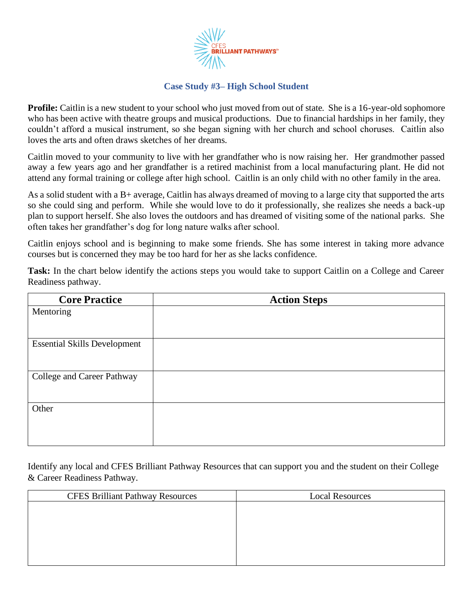

## **Case Study #3– High School Student**

**Profile:** Caitlin is a new student to your school who just moved from out of state. She is a 16-year-old sophomore who has been active with theatre groups and musical productions. Due to financial hardships in her family, they couldn't afford a musical instrument, so she began signing with her church and school choruses. Caitlin also loves the arts and often draws sketches of her dreams.

Caitlin moved to your community to live with her grandfather who is now raising her. Her grandmother passed away a few years ago and her grandfather is a retired machinist from a local manufacturing plant. He did not attend any formal training or college after high school. Caitlin is an only child with no other family in the area.

As a solid student with a B+ average, Caitlin has always dreamed of moving to a large city that supported the arts so she could sing and perform. While she would love to do it professionally, she realizes she needs a back-up plan to support herself. She also loves the outdoors and has dreamed of visiting some of the national parks. She often takes her grandfather's dog for long nature walks after school.

Caitlin enjoys school and is beginning to make some friends. She has some interest in taking more advance courses but is concerned they may be too hard for her as she lacks confidence.

**Task:** In the chart below identify the actions steps you would take to support Caitlin on a College and Career Readiness pathway.

| <b>Core Practice</b>                | <b>Action Steps</b> |
|-------------------------------------|---------------------|
| Mentoring                           |                     |
|                                     |                     |
| <b>Essential Skills Development</b> |                     |
|                                     |                     |
|                                     |                     |
| College and Career Pathway          |                     |
|                                     |                     |
| Other                               |                     |
|                                     |                     |
|                                     |                     |
|                                     |                     |

| <b>CFES Brilliant Pathway Resources</b> | <b>Local Resources</b> |
|-----------------------------------------|------------------------|
|                                         |                        |
|                                         |                        |
|                                         |                        |
|                                         |                        |
|                                         |                        |
|                                         |                        |